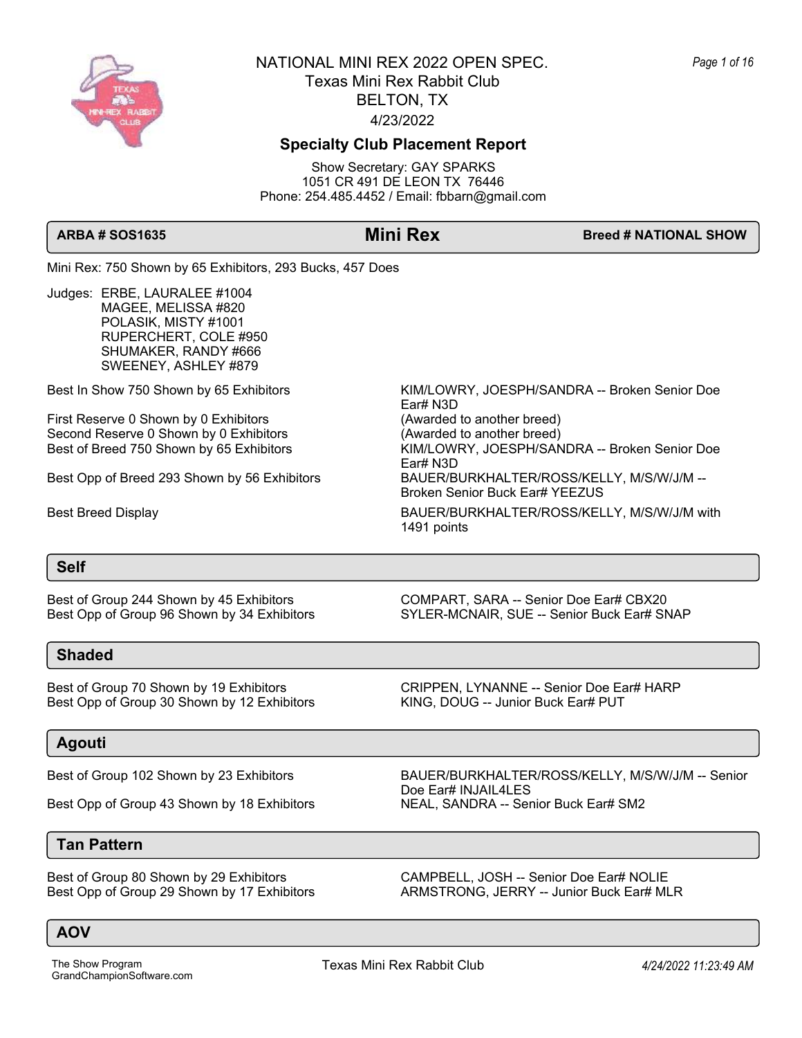

## **Specialty Club Placement Report**

Show Secretary: GAY SPARKS 1051 CR 491 DE LEON TX 76446 Phone: 254.485.4452 / Email: fbbarn@gmail.com

Ear# N3D

Ear# N3D

1491 points

**ARBA # SOS1635 Mini Rex Breed # NATIONAL SHOW** 

Mini Rex: 750 Shown by 65 Exhibitors, 293 Bucks, 457 Does

Judges: ERBE, LAURALEE #1004 MAGEE, MELISSA #820 POLASIK, MISTY #1001 RUPERCHERT, COLE #950 SHUMAKER, RANDY #666 SWEENEY, ASHLEY #879

Best In Show 750 Shown by 65 Exhibitors KIM/LOWRY, JOESPH/SANDRA -- Broken Senior Doe

First Reserve 0 Shown by 0 Exhibitors (Awarded to another breed) Second Reserve 0 Shown by 0 Exhibitors (Awarded to another breed) Best of Breed 750 Shown by 65 Exhibitors KIM/LOWRY, JOESPH/SANDRA -- Broken Senior Doe

Best Opp of Breed 293 Shown by 56 Exhibitors BAUER/BURKHALTER/ROSS/KELLY, M/S/W/J/M --

Best Breed Display **BAUER/BURKHALTER/ROSS/KELLY, M/S/W/J/M with** 

### **Self**

Best Opp of Group 96 Shown by 34 Exhibitors SYLER-MCNAIR, SUE -- Senior Buck Ear# SNAP

**Shaded**

Best of Group 70 Shown by 19 Exhibitors **CRIPPEN, LYNANNE -- Senior Doe Ear# HARP** Best Opp of Group 30 Shown by 12 Exhibitors KING, DOUG -- Junior Buck Ear# PUT

## **Agouti**

Best Opp of Group 43 Shown by 18 Exhibitors NEAL, SANDRA -- Senior Buck Ear# SM2

**Tan Pattern**

Best of Group 244 Shown by 45 Exhibitors COMPART, SARA -- Senior Doe Ear# CBX20

Broken Senior Buck Ear# YEEZUS

Best of Group 102 Shown by 23 Exhibitors BAUER/BURKHALTER/ROSS/KELLY, M/S/W/J/M -- Senior Doe Ear# INJAIL4LES

Best of Group 80 Shown by 29 Exhibitors CAMPBELL, JOSH -- Senior Doe Ear# NOLIE Best Opp of Group 29 Shown by 17 Exhibitors **ARMSTRONG, JERRY -- Junior Buck Ear# MLR**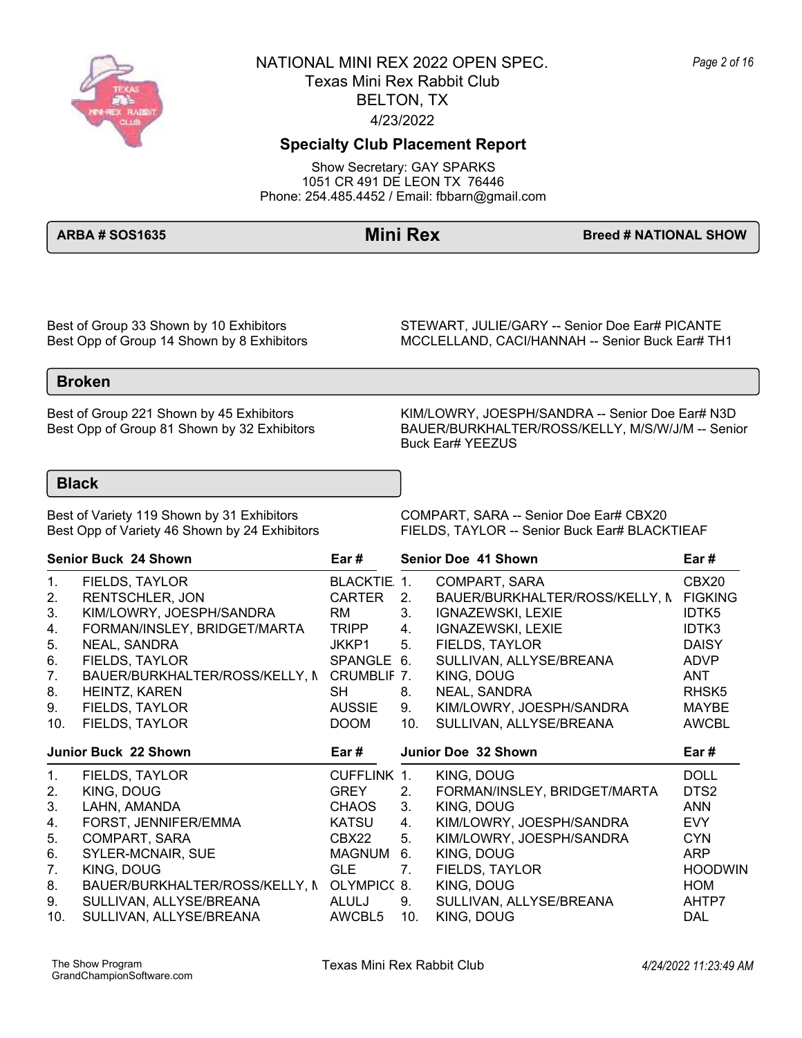

## **Specialty Club Placement Report**

Show Secretary: GAY SPARKS 1051 CR 491 DE LEON TX 76446 Phone: 254.485.4452 / Email: fbbarn@gmail.com

**ARBA # SOS1635 Mini Rex Breed # NATIONAL SHOW** 

Best of Group 33 Shown by 10 Exhibitors STEWART, JULIE/GARY -- Senior Doe Ear# PICANTE<br>Best Opp of Group 14 Shown by 8 Exhibitors MCCLELLAND, CACI/HANNAH -- Senior Buck Ear# TH MCCLELLAND, CACI/HANNAH -- Senior Buck Ear# TH1

### **Broken**

Best of Group 221 Shown by 45 Exhibitors KIM/LOWRY, JOESPH/SANDRA -- Senior Doe Ear# N3D<br>BAUER/BURKHALTER/ROSS/KELLY, M/S/W/J/M -- Senior BAUER/BURKHALTER/ROSS/KELLY, M/S/W/J/M -- Senior Buck Ear# YEEZUS

### **Black**

Best of Variety 119 Shown by 31 Exhibitors COMPART, SARA -- Senior Doe Ear# CBX20<br>Best Opp of Variety 46 Shown by 24 Exhibitors FIELDS, TAYLOR -- Senior Buck Ear# BLACK FIELDS, TAYLOR -- Senior Buck Ear# BLACKTIEAF

|                                              | <b>Senior Buck 24 Shown</b>                | Ear #         | <b>Senior Doe 41 Shown</b> | Ear#                           |                   |
|----------------------------------------------|--------------------------------------------|---------------|----------------------------|--------------------------------|-------------------|
| 1.                                           | FIELDS, TAYLOR                             | BLACKTIE. 1.  |                            | COMPART, SARA                  | CBX20             |
| 2.                                           | <b>RENTSCHLER, JON</b>                     | <b>CARTER</b> | 2.                         | BAUER/BURKHALTER/ROSS/KELLY, N | <b>FIGKING</b>    |
| 3.                                           | KIM/LOWRY, JOESPH/SANDRA                   | RM            | 3.                         | IGNAZEWSKI, LEXIE              | <b>IDTK5</b>      |
| 4.                                           | FORMAN/INSLEY, BRIDGET/MARTA               | <b>TRIPP</b>  | 4.                         | <b>IGNAZEWSKI, LEXIE</b>       | IDTK3             |
| 5.                                           | NEAL, SANDRA                               | JKKP1         | 5.                         | FIELDS, TAYLOR                 | <b>DAISY</b>      |
| 6.                                           | FIELDS, TAYLOR                             | SPANGLE 6.    |                            | SULLIVAN, ALLYSE/BREANA        | <b>ADVP</b>       |
| 7.                                           | BAUER/BURKHALTER/ROSS/KELLY, N CRUMBLIF 7. |               |                            | KING, DOUG                     | ANT               |
| 8.                                           | HEINTZ, KAREN                              | SH            | 8.                         | NEAL, SANDRA                   | RHSK <sub>5</sub> |
| 9.                                           | FIELDS, TAYLOR                             | <b>AUSSIE</b> | 9.                         | KIM/LOWRY, JOESPH/SANDRA       | MAYBE             |
| 10.                                          | FIELDS, TAYLOR                             | <b>DOOM</b>   | 10.                        | SULLIVAN, ALLYSE/BREANA        | <b>AWCBL</b>      |
|                                              | Junior Buck 22 Shown                       | Ear #         |                            | Junior Doe 32 Shown            | Ear #             |
| 1.                                           | FIELDS, TAYLOR                             | CUFFLINK 1.   |                            | KING, DOUG                     | <b>DOLL</b>       |
|                                              |                                            |               |                            |                                |                   |
|                                              | KING, DOUG                                 | <b>GREY</b>   | 2.                         | FORMAN/INSLEY, BRIDGET/MARTA   | DTS2              |
|                                              | LAHN, AMANDA                               | CHAOS         | 3.                         | KING, DOUG                     | <b>ANN</b>        |
|                                              | FORST, JENNIFER/EMMA                       | KATSU         | 4.                         | KIM/LOWRY, JOESPH/SANDRA       | <b>EVY</b>        |
|                                              | COMPART, SARA                              | CBX22         | 5.                         | KIM/LOWRY, JOESPH/SANDRA       | <b>CYN</b>        |
|                                              | SYLER-MCNAIR, SUE                          | MAGNUM        | 6.                         | KING, DOUG                     | <b>ARP</b>        |
|                                              | KING, DOUG                                 | GLE           | 7.                         | FIELDS, TAYLOR                 | <b>HOODWIN</b>    |
|                                              | BAUER/BURKHALTER/ROSS/KELLY, N OLYMPIC(8.  |               |                            | KING, DOUG                     | HOM               |
| 2.<br>3.<br>4.<br>5.<br>6.<br>7.<br>8.<br>9. | SULLIVAN, ALLYSE/BREANA                    | ALULJ         | 9.                         | SULLIVAN, ALLYSE/BREANA        | AHTP7             |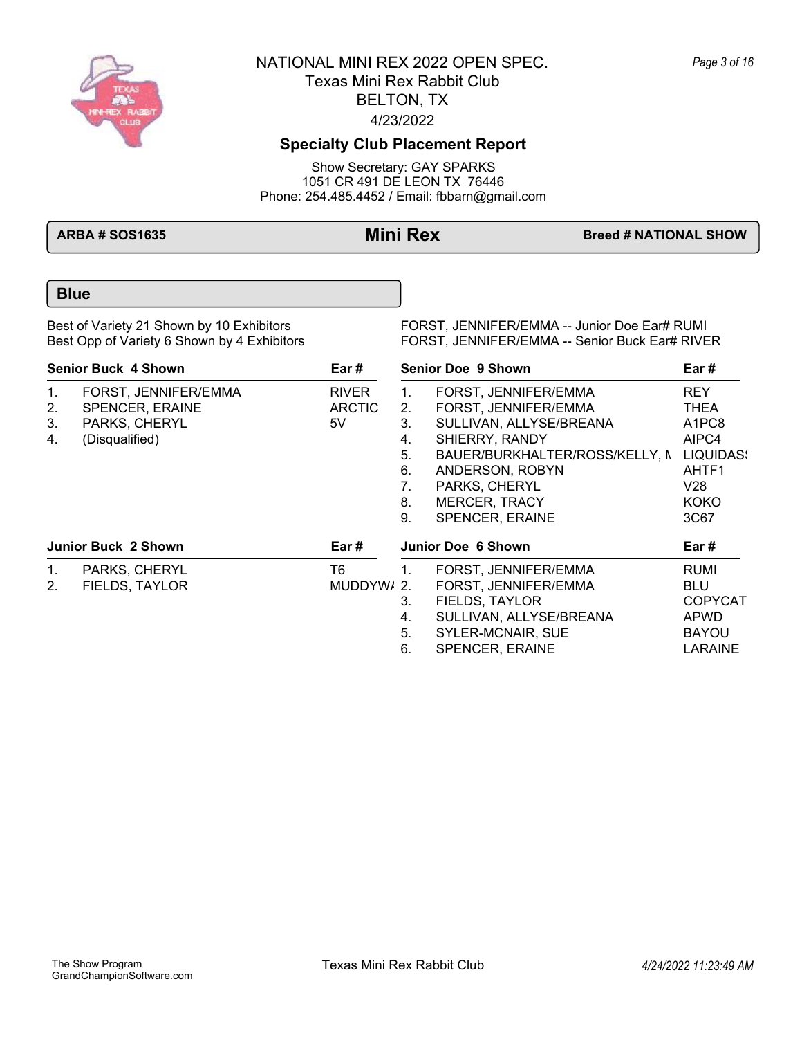

# **Specialty Club Placement Report**

Show Secretary: GAY SPARKS 1051 CR 491 DE LEON TX 76446 Phone: 254.485.4452 / Email: fbbarn@gmail.com

**ARBA # SOS1635 Mini Rex Breed # NATIONAL SHOW** 

## **Blue**

Best of Variety 21 Shown by 10 Exhibitors FORST, JENNIFER/EMMA -- Junior Doe Ear# RUMI<br>Best Opp of Variety 6 Shown by 4 Exhibitors FORST, JENNIFER/EMMA -- Senior Buck Ear# RIVE FORST, JENNIFER/EMMA -- Senior Buck Ear# RIVER

| <b>Senior Buck 4 Shown</b><br>Ear # |                            |               | <b>Senior Doe 9 Shown</b> | Ear#                           |                                |
|-------------------------------------|----------------------------|---------------|---------------------------|--------------------------------|--------------------------------|
| 1 <sub>1</sub>                      | FORST, JENNIFER/EMMA       | <b>RIVER</b>  | $1_{-}$                   | FORST, JENNIFER/EMMA           | <b>REY</b>                     |
| 2.                                  | <b>SPENCER, ERAINE</b>     | <b>ARCTIC</b> | 2.                        | FORST. JENNIFER/EMMA           | THEA                           |
| 3.                                  | PARKS, CHERYL              | 5V            | 3.                        | SULLIVAN, ALLYSE/BREANA        | A <sub>1</sub> PC <sub>8</sub> |
| 4.                                  | (Disqualified)             |               | 4.                        | SHIERRY, RANDY                 | AIPC4                          |
|                                     |                            |               | 5.                        | BAUER/BURKHALTER/ROSS/KELLY, N | LIQUIDAS!                      |
|                                     |                            |               | 6.                        | ANDERSON, ROBYN                | AHTF1                          |
|                                     |                            |               | 7.                        | PARKS, CHERYL                  | V28                            |
|                                     |                            |               | 8.                        | <b>MERCER, TRACY</b>           | <b>KOKO</b>                    |
|                                     |                            |               | 9.                        | SPENCER, ERAINE                | 3C67                           |
|                                     | <b>Junior Buck 2 Shown</b> | Ear #         |                           | Junior Doe 6 Shown             | Ear #                          |
| $1_{\cdot}$                         | PARKS, CHERYL              | T6            |                           | FORST, JENNIFER/EMMA           | <b>RUMI</b>                    |
| 2.                                  | FIELDS, TAYLOR             | MUDDYW/ 2.    |                           | FORST, JENNIFER/EMMA           | <b>BLU</b>                     |
|                                     |                            |               | 3.                        | FIELDS, TAYLOR                 | <b>COPYCAT</b>                 |
|                                     |                            |               | 4.                        | SULLIVAN, ALLYSE/BREANA        | <b>APWD</b>                    |
|                                     |                            |               | 5.                        | <b>SYLER-MCNAIR, SUE</b>       | <b>BAYOU</b>                   |
|                                     |                            |               | 6.                        | <b>SPENCER, ERAINE</b>         | <b>LARAINE</b>                 |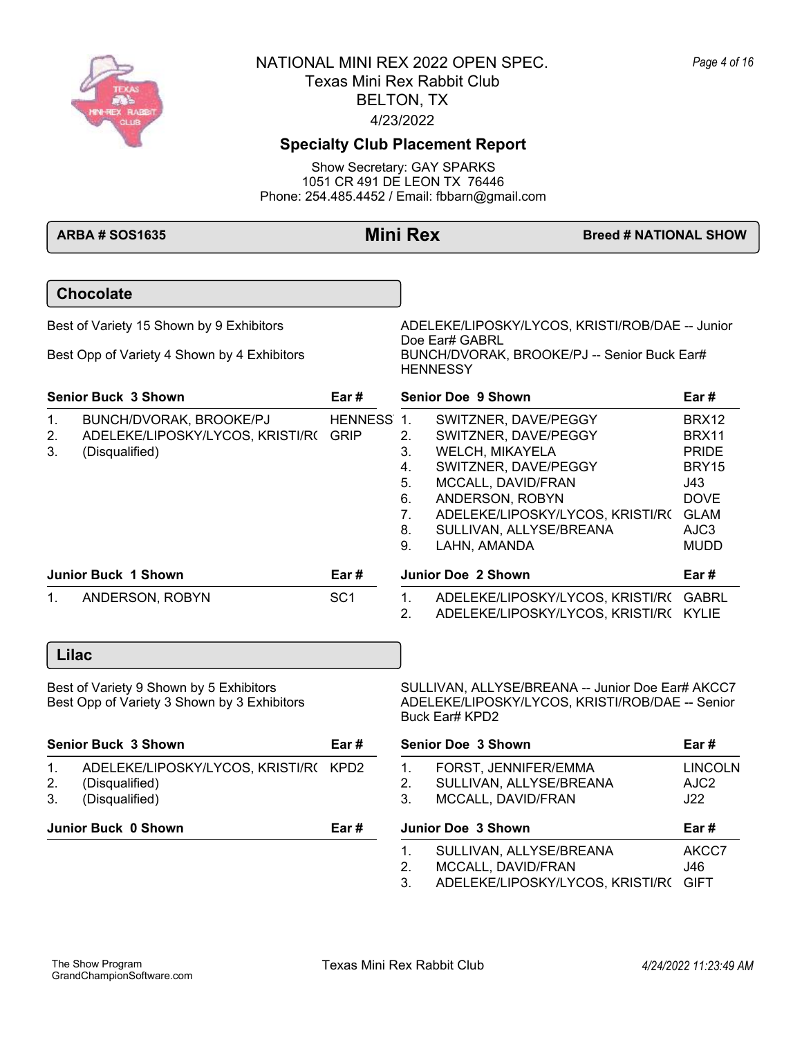

# **Specialty Club Placement Report**

Show Secretary: GAY SPARKS 1051 CR 491 DE LEON TX 76446 Phone: 254.485.4452 / Email: fbbarn@gmail.com

|                           | <b>ARBA # SOS1635</b>                                                                   |                 | <b>Mini Rex</b>                                                                                                                                                                                                                                                                                   | <b>Breed # NATIONAL SHOW</b> |                                                                                                                |
|---------------------------|-----------------------------------------------------------------------------------------|-----------------|---------------------------------------------------------------------------------------------------------------------------------------------------------------------------------------------------------------------------------------------------------------------------------------------------|------------------------------|----------------------------------------------------------------------------------------------------------------|
|                           | <b>Chocolate</b>                                                                        |                 |                                                                                                                                                                                                                                                                                                   |                              |                                                                                                                |
|                           | Best of Variety 15 Shown by 9 Exhibitors<br>Best Opp of Variety 4 Shown by 4 Exhibitors |                 | ADELEKE/LIPOSKY/LYCOS, KRISTI/ROB/DAE -- Junior<br>Doe Ear# GABRL<br>BUNCH/DVORAK, BROOKE/PJ -- Senior Buck Ear#                                                                                                                                                                                  |                              |                                                                                                                |
|                           | <b>Senior Buck 3 Shown</b>                                                              | Ear #           | <b>HENNESSY</b><br>Senior Doe 9 Shown                                                                                                                                                                                                                                                             |                              | Ear #                                                                                                          |
| $\mathbf 1$ .<br>2.<br>3. | BUNCH/DVORAK, BROOKE/PJ<br>ADELEKE/LIPOSKY/LYCOS, KRISTI/R( GRIP<br>(Disqualified)      | <b>HENNESS</b>  | $\overline{1}$ .<br>SWITZNER, DAVE/PEGGY<br>2.<br>SWITZNER, DAVE/PEGGY<br>3.<br>WELCH, MIKAYELA<br>SWITZNER, DAVE/PEGGY<br>4.<br>5.<br>MCCALL, DAVID/FRAN<br>6.<br>ANDERSON, ROBYN<br>$7_{\cdot}$<br>ADELEKE/LIPOSKY/LYCOS, KRISTI/R( GLAM<br>8.<br>SULLIVAN, ALLYSE/BREANA<br>9.<br>LAHN, AMANDA |                              | <b>BRX12</b><br><b>BRX11</b><br><b>PRIDE</b><br>BRY15<br>J43<br><b>DOVE</b><br>AJC <sub>3</sub><br><b>MUDD</b> |
|                           | <b>Junior Buck 1 Shown</b>                                                              | Ear#            | Junior Doe 2 Shown                                                                                                                                                                                                                                                                                |                              | Ear #                                                                                                          |
| $\mathbf 1$ .             | ANDERSON, ROBYN                                                                         | SC <sub>1</sub> | ADELEKE/LIPOSKY/LYCOS, KRISTI/R( GABRL<br>1.<br>2.<br>ADELEKE/LIPOSKY/LYCOS, KRISTI/R(KYLIE                                                                                                                                                                                                       |                              |                                                                                                                |
|                           | Lilac                                                                                   |                 |                                                                                                                                                                                                                                                                                                   |                              |                                                                                                                |
|                           | Best of Variety 9 Shown by 5 Exhibitors<br>Best Opp of Variety 3 Shown by 3 Exhibitors  |                 | SULLIVAN, ALLYSE/BREANA -- Junior Doe Ear# AKCC7<br>ADELEKE/LIPOSKY/LYCOS, KRISTI/ROB/DAE -- Senior<br>Buck Ear# KPD2                                                                                                                                                                             |                              |                                                                                                                |
|                           | <b>Senior Buck 3 Shown</b>                                                              | Ear#            | <b>Senior Doe 3 Shown</b>                                                                                                                                                                                                                                                                         |                              | Ear #                                                                                                          |
| 1.<br>2.<br>3.            | ADELEKE/LIPOSKY/LYCOS, KRISTI/R( KPD2<br>(Disqualified)<br>(Disqualified)               |                 | 1.<br>FORST, JENNIFER/EMMA<br>2.<br>SULLIVAN, ALLYSE/BREANA<br>3.<br>MCCALL, DAVID/FRAN                                                                                                                                                                                                           |                              | <b>LINCOLN</b><br>AJC2<br>J22                                                                                  |
|                           | Junior Buck 0 Shown                                                                     | Ear#            | <b>Junior Doe 3 Shown</b>                                                                                                                                                                                                                                                                         |                              | Ear #                                                                                                          |
|                           |                                                                                         |                 | $\mathbf{1}$ .<br>SULLIVAN, ALLYSE/BREANA<br>2.<br>MCCALL, DAVID/FRAN<br>3.<br>ADELEKE/LIPOSKY/LYCOS, KRISTI/R(                                                                                                                                                                                   |                              | AKCC7<br>J46<br><b>GIFT</b>                                                                                    |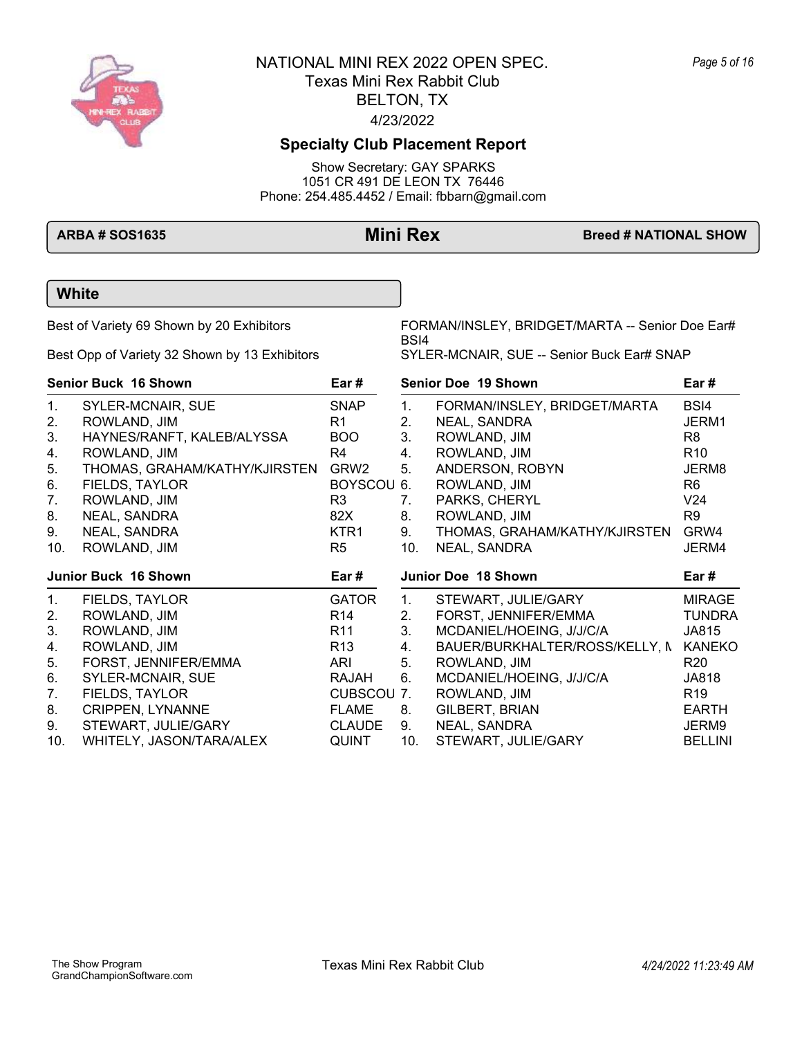

# **Specialty Club Placement Report**

Show Secretary: GAY SPARKS 1051 CR 491 DE LEON TX 76446 Phone: 254.485.4452 / Email: fbbarn@gmail.com

**ARBA # SOS1635 Mini Rex Breed # NATIONAL SHOW** 

Best Opp of Variety 32 Shown by 13 Exhibitors SYLER-MCNAIR, SUE -- Senior Buck Ear# SNAP

Best of Variety 69 Shown by 20 Exhibitors FORMAN/INSLEY, BRIDGET/MARTA -- Senior Doe Ear# BSI4

| <b>Senior Buck 16 Shown</b> |                               | Ear #            |     | <b>Senior Doe 19 Shown</b>     | Ear #           |  |
|-----------------------------|-------------------------------|------------------|-----|--------------------------------|-----------------|--|
| 1.                          | SYLER-MCNAIR, SUE             | <b>SNAP</b>      | 1.  | FORMAN/INSLEY, BRIDGET/MARTA   | BSI4            |  |
| 2.                          | ROWLAND, JIM                  | R1.              | 2.  | NEAL, SANDRA                   | JERM1           |  |
| 3.                          | HAYNES/RANFT, KALEB/ALYSSA    | BOO              | 3.  | ROWLAND, JIM                   | R8              |  |
| 4.                          | ROWLAND, JIM                  | R4               | 4.  | ROWLAND, JIM                   | R <sub>10</sub> |  |
| 5.                          | THOMAS, GRAHAM/KATHY/KJIRSTEN | GRW <sub>2</sub> | 5.  | ANDERSON, ROBYN                | JERM8           |  |
| 6.                          | FIELDS, TAYLOR                | BOYSCOU 6.       |     | ROWLAND, JIM                   | R6              |  |
| 7.                          | ROWLAND, JIM                  | R3               | 7.  | PARKS, CHERYL                  | V <sub>24</sub> |  |
| 8.                          | NEAL, SANDRA                  | 82X              | 8.  | ROWLAND, JIM                   | R9              |  |
| 9.                          | NEAL, SANDRA                  | KTR1             | 9.  | THOMAS, GRAHAM/KATHY/KJIRSTEN  | GRW4            |  |
| 10.                         | ROWLAND, JIM                  | R <sub>5</sub>   | 10. | NEAL, SANDRA                   | JERM4           |  |
|                             | Junior Buck 16 Shown          | Ear #            |     | Junior Doe 18 Shown            | Ear #           |  |
|                             |                               |                  |     |                                |                 |  |
| 1.                          | FIELDS, TAYLOR                | <b>GATOR</b>     | 1.  | STEWART, JULIE/GARY            | MIRAGE          |  |
| 2.                          | ROWLAND, JIM                  | R14              | 2.  | FORST, JENNIFER/EMMA           | <b>TUNDRA</b>   |  |
| 3.                          | ROWLAND, JIM                  | R11              | 3.  | MCDANIEL/HOEING, J/J/C/A       | JA815           |  |
| 4.                          | ROWLAND, JIM                  | R <sub>13</sub>  | 4.  | BAUER/BURKHALTER/ROSS/KELLY, N | <b>KANEKO</b>   |  |
| 5.                          | FORST, JENNIFER/EMMA          | ARI              | 5.  | ROWLAND, JIM                   | R20             |  |
| 6.                          | SYLER-MCNAIR, SUE             | RAJAH            | 6.  | MCDANIEL/HOEING, J/J/C/A       | JA818           |  |
| 7.                          | FIELDS, TAYLOR                | CUBSCOU 7.       |     | ROWLAND, JIM                   | R <sub>19</sub> |  |
| 8.                          | <b>CRIPPEN, LYNANNE</b>       | FLAME            | 8.  | GILBERT, BRIAN                 | <b>EARTH</b>    |  |
| 9.                          | STEWART, JULIE/GARY           | <b>CLAUDE</b>    | 9.  | NEAL, SANDRA                   | JERM9           |  |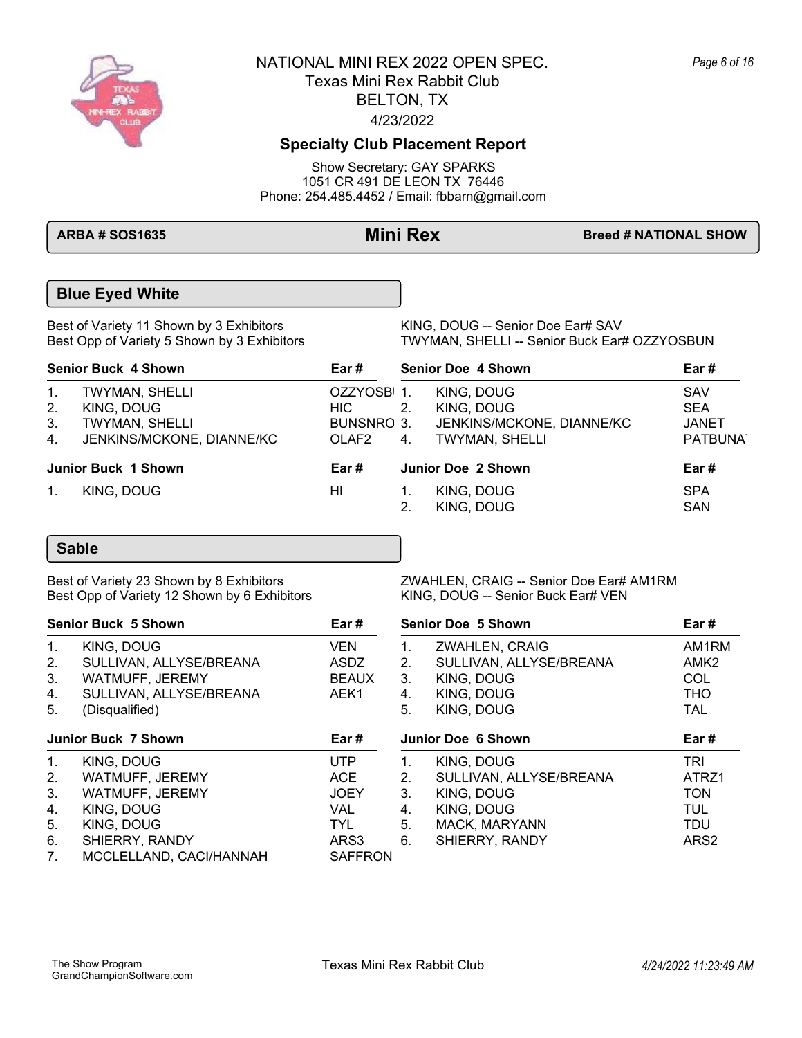

## **Specialty Club Placement Report**

Show Secretary: GAY SPARKS 1051 CR 491 DE LEON TX 76446 Phone: 254.485.4452 / Email: fbbarn@gmail.com

**ARBA # SOS1635 Mini Rex Breed # NATIONAL SHOW** 

## **Blue Eyed White**

Best of Variety 11 Shown by 3 Exhibitors <br>Best Opp of Variety 5 Shown by 3 Exhibitors TWYMAN, SHELLI -- Senior Buck Ear

TWYMAN, SHELLI -- Senior Buck Ear# OZZYOSBUN

| <b>Senior Buck 4 Shown</b> |                                             | Ear #               | <b>Senior Doe 4 Shown</b> |                                                    | Ear#                                 |
|----------------------------|---------------------------------------------|---------------------|---------------------------|----------------------------------------------------|--------------------------------------|
| 1.<br>2.                   | TWYMAN, SHELLI<br>KING, DOUG                | OZZYOSBI 1.<br>HIC. | 2.                        | KING, DOUG<br>KING, DOUG                           | SAV<br><b>SEA</b>                    |
| 3.<br>4 <sub>1</sub>       | TWYMAN, SHELLI<br>JENKINS/MCKONE, DIANNE/KC | BUNSNRO 3.<br>OLAF2 | 4.                        | JENKINS/MCKONE, DIANNE/KC<br><b>TWYMAN, SHELLI</b> | <b>JANET</b><br>PATBUNA <sup>-</sup> |
|                            | <b>Junior Buck 1 Shown</b>                  | Ear #               |                           | Junior Doe 2 Shown                                 | Ear#                                 |
| $1_{\cdot}$                | KING, DOUG                                  | HI                  |                           | KING, DOUG<br>KING, DOUG                           | <b>SPA</b><br><b>SAN</b>             |

## **Sable**

Best Opp of Variety 12 Shown by 6 Exhibitors

Best of Variety 23 Shown by 8 Exhibitors <br>Best Opp of Variety 12 Shown by 6 Exhibitors KING, DOUG -- Senior Buck Ear# VEN

| <b>Senior Buck 5 Shown</b>             |                                                                                                                           | Ear#                                                                | <b>Senior Doe 5 Shown</b>        |                                                                                                      | Ear#                                                                              |  |
|----------------------------------------|---------------------------------------------------------------------------------------------------------------------------|---------------------------------------------------------------------|----------------------------------|------------------------------------------------------------------------------------------------------|-----------------------------------------------------------------------------------|--|
| 1.<br>2.<br>3.<br>4.<br>5 <sub>1</sub> | KING, DOUG<br>SULLIVAN, ALLYSE/BREANA<br>WATMUFF, JEREMY<br>SULLIVAN, ALLYSE/BREANA<br>(Disqualified)                     | <b>VEN</b><br>ASDZ<br><b>BEAUX</b><br>AEK1                          | 1.<br>2.<br>3.<br>4.<br>5.       | ZWAHLEN, CRAIG<br>SULLIVAN, ALLYSE/BREANA<br>KING, DOUG<br>KING, DOUG<br>KING, DOUG                  | AM1RM<br>AMK <sub>2</sub><br><b>COL</b><br><b>THO</b><br><b>TAL</b>               |  |
|                                        | <b>Junior Buck 7 Shown</b>                                                                                                | Ear#                                                                |                                  | <b>Junior Doe 6 Shown</b>                                                                            | Ear#                                                                              |  |
| 1.<br>2.<br>3.<br>4.<br>5.<br>6.<br>7. | KING, DOUG<br>WATMUFF, JEREMY<br>WATMUFF, JEREMY<br>KING, DOUG<br>KING, DOUG<br>SHIERRY, RANDY<br>MCCLELLAND, CACI/HANNAH | UTP<br>ACE<br><b>JOEY</b><br>VAL.<br>TYL.<br>ARS3<br><b>SAFFRON</b> | 1.<br>2.<br>3.<br>4.<br>5.<br>6. | KING, DOUG<br>SULLIVAN, ALLYSE/BREANA<br>KING, DOUG<br>KING, DOUG<br>MACK, MARYANN<br>SHIERRY, RANDY | <b>TRI</b><br>ATRZ1<br><b>TON</b><br><b>TUL</b><br><b>TDU</b><br>ARS <sub>2</sub> |  |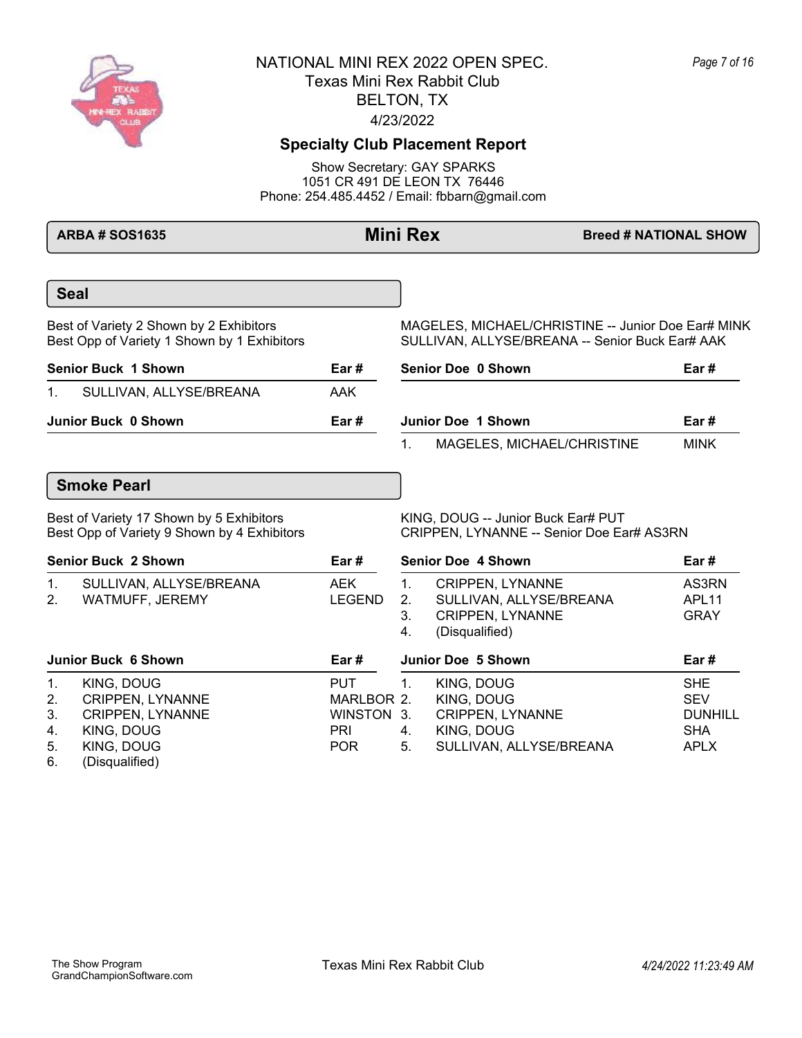

## **Specialty Club Placement Report**

Show Secretary: GAY SPARKS 1051 CR 491 DE LEON TX 76446 Phone: 254.485.4452 / Email: fbbarn@gmail.com

**ARBA # SOS1635 Mini Rex Breed # NATIONAL SHOW Seal** Best of Variety 2 Shown by 2 Exhibitors MAGELES, MICHAEL/CHRISTINE -- Junior Doe Ear# MINK Best Opp of Variety 1 Shown by 1 Exhibitors SULLIVAN, ALLYSE/BREANA -- Senior Buck Ear# AAK **Senior Buck 1 Shown Ear #** 1. SULLIVAN, ALLYSE/BREANA AAK **Senior Doe 0 Shown Ear # Junior Buck 0 Shown Ear #** 1. MAGELES, MICHAEL/CHRISTINE MINK **Junior Doe 1 Shown Ear # Smoke Pearl** Best of Variety 17 Shown by 5 Exhibitors KING, DOUG -- Junior Buck Ear# PUT Best Opp of Variety 9 Shown by 4 Exhibitors CRIPPEN, LYNANNE -- Senior Doe Ear# AS3RN **Senior Buck 2 Shown Ear #** 1. SULLIVAN, ALLYSE/BREANA AEK 2. WATMUFF, JEREMY LEGEND 1. CRIPPEN, LYNANNE AS3RN 2. SULLIVAN, ALLYSE/BREANA APL11 3. CRIPPEN, LYNANNE GRAY 4. (Disqualified) **Senior Doe 4 Shown Ear # Junior Buck 6 Shown Ear #** 1. KING, DOUG PUT 2. CRIPPEN, LYNANNE MARLBOR 2. 3. CRIPPEN, LYNANNE WINSTON 3. 4. KING, DOUG PRI 5. KING, DOUG POR 1. KING, DOUG SHE 2. KING, DOUG SEV CRIPPEN, LYNANNE DUNHILL 4. KING, DOUG SHA 5. SULLIVAN, ALLYSE/BREANA APLX **Junior Doe 5 Shown Ear #**

6. (Disqualified)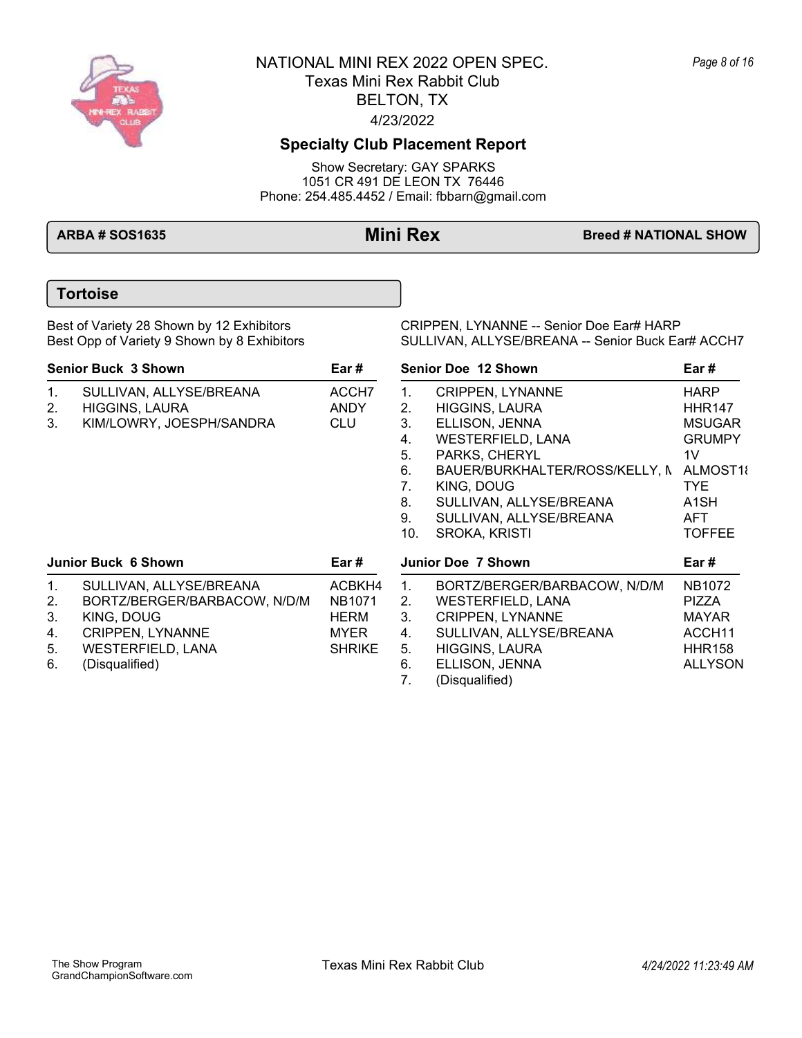

## **Specialty Club Placement Report**

Show Secretary: GAY SPARKS 1051 CR 491 DE LEON TX 76446 Phone: 254.485.4452 / Email: fbbarn@gmail.com

**ARBA # SOS1635 Mini Rex Breed # NATIONAL SHOW** 

## **Tortoise**

Best of Variety 28 Shown by 12 Exhibitors CRIPPEN, LYNANNE -- Senior Doe Ear# HARP<br>Best Opp of Variety 9 Shown by 8 Exhibitors SULLIVAN, ALLYSE/BREANA -- Senior Buck Ea SULLIVAN, ALLYSE/BREANA -- Senior Buck Ear# ACCH7

| <b>Senior Buck 3 Shown</b>       |                                                                                                                                         | Ear#                                                                 |                                                                | Senior Doe 12 Shown                                                                                                                                                                                                                           | Ear #                                                                                                                                                    |  |
|----------------------------------|-----------------------------------------------------------------------------------------------------------------------------------------|----------------------------------------------------------------------|----------------------------------------------------------------|-----------------------------------------------------------------------------------------------------------------------------------------------------------------------------------------------------------------------------------------------|----------------------------------------------------------------------------------------------------------------------------------------------------------|--|
| $\mathbf{1}$ .<br>2.<br>3.       | SULLIVAN, ALLYSE/BREANA<br><b>HIGGINS, LAURA</b><br>KIM/LOWRY, JOESPH/SANDRA                                                            | ACCH7<br>ANDY<br><b>CLU</b>                                          | $1_{-}$<br>2.<br>3.<br>4.<br>5.<br>6.<br>7.<br>8.<br>9.<br>10. | <b>CRIPPEN, LYNANNE</b><br><b>HIGGINS, LAURA</b><br>ELLISON, JENNA<br><b>WESTERFIELD, LANA</b><br>PARKS, CHERYL<br>BAUER/BURKHALTER/ROSS/KELLY, N<br>KING, DOUG<br>SULLIVAN, ALLYSE/BREANA<br>SULLIVAN, ALLYSE/BREANA<br><b>SROKA, KRISTI</b> | <b>HARP</b><br><b>HHR147</b><br><b>MSUGAR</b><br><b>GRUMPY</b><br>1 <sub>V</sub><br>ALMOST18<br>TYE.<br>A <sub>1</sub> SH<br><b>AFT</b><br><b>TOFFEE</b> |  |
|                                  | <b>Junior Buck 6 Shown</b>                                                                                                              | Ear #                                                                |                                                                | Junior Doe 7 Shown                                                                                                                                                                                                                            | Ear #                                                                                                                                                    |  |
| 1.<br>2.<br>3.<br>4.<br>5.<br>6. | SULLIVAN, ALLYSE/BREANA<br>BORTZ/BERGER/BARBACOW, N/D/M<br>KING, DOUG<br>CRIPPEN, LYNANNE<br><b>WESTERFIELD, LANA</b><br>(Disqualified) | ACBKH4<br>NB <sub>1071</sub><br>HERM<br><b>MYER</b><br><b>SHRIKE</b> | 1.<br>2.<br>3.<br>4.<br>5.<br>6.<br>7.                         | BORTZ/BERGER/BARBACOW, N/D/M<br>WESTERFIELD, LANA<br><b>CRIPPEN, LYNANNE</b><br>SULLIVAN, ALLYSE/BREANA<br><b>HIGGINS, LAURA</b><br>ELLISON, JENNA<br>(Disqualified)                                                                          | NB1072<br><b>PIZZA</b><br><b>MAYAR</b><br>ACCH <sub>11</sub><br><b>HHR158</b><br><b>ALLYSON</b>                                                          |  |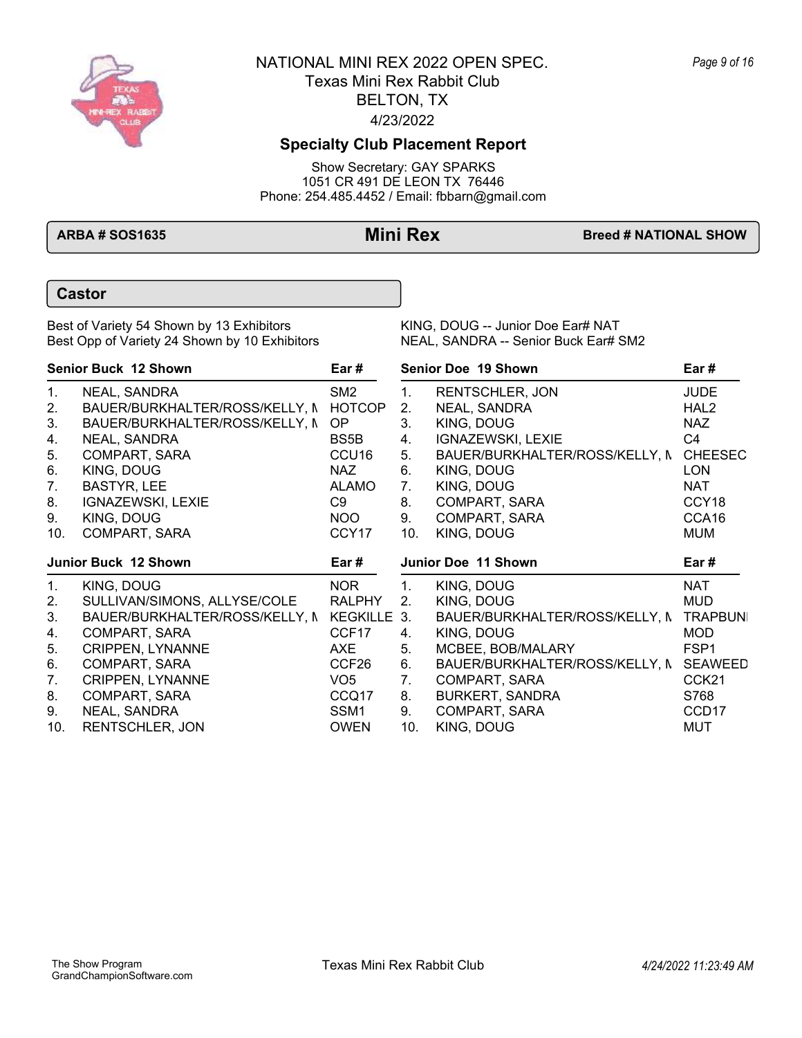

## **Specialty Club Placement Report**

Show Secretary: GAY SPARKS 1051 CR 491 DE LEON TX 76446 Phone: 254.485.4452 / Email: fbbarn@gmail.com

**ARBA # SOS1635 Mini Rex Breed # NATIONAL SHOW** 

### **Castor**

Best of Variety 54 Shown by 13 Exhibitors KING, DOUG -- Junior Doe Ear# NAT<br>Best Opp of Variety 24 Shown by 10 Exhibitors NEAL, SANDRA -- Senior Buck Ear# SM2 Best Opp of Variety 24 Shown by 10 Exhibitors

|                            | Senior Buck 12 Shown                       | Ear #             |     | Senior Doe 19 Shown                    | Ear#              |
|----------------------------|--------------------------------------------|-------------------|-----|----------------------------------------|-------------------|
| 1.                         | NEAL, SANDRA                               | SM <sub>2</sub>   | 1.  | <b>RENTSCHLER, JON</b>                 | <b>JUDE</b>       |
| 2.                         | BAUER/BURKHALTER/ROSS/KELLY, N HOTCOP      |                   | 2.  | NEAL, SANDRA                           | HAL <sub>2</sub>  |
| 3.                         | BAUER/BURKHALTER/ROSS/KELLY, N             | OP                | 3.  | KING, DOUG                             | <b>NAZ</b>        |
| 4.                         | NEAL, SANDRA                               | BS5B              | 4.  | IGNAZEWSKI, LEXIE                      | C4                |
| 5.                         | COMPART, SARA                              | CCU <sub>16</sub> | 5.  | BAUER/BURKHALTER/ROSS/KELLY, N         | <b>CHEESEC</b>    |
| 6.                         | KING, DOUG                                 | <b>NAZ</b>        | 6.  | KING, DOUG                             | <b>LON</b>        |
| 7.                         | <b>BASTYR, LEE</b>                         | <b>ALAMO</b>      | 7.  | KING, DOUG                             | <b>NAT</b>        |
| 8.                         | IGNAZEWSKI, LEXIE                          | C9                | 8.  | COMPART, SARA                          | CCY <sub>18</sub> |
| 9.                         | KING, DOUG                                 | NOO               | 9.  | COMPART, SARA                          | CCA16             |
| 10.                        | COMPART, SARA                              | CCY <sub>17</sub> | 10. | KING, DOUG                             | <b>MUM</b>        |
|                            | <b>Junior Buck 12 Shown</b>                | Ear #             |     | Junior Doe 11 Shown                    | Ear #             |
| 1.                         | KING, DOUG                                 | <b>NOR</b>        | 1.  | KING, DOUG                             | <b>NAT</b>        |
| 2.                         | SULLIVAN/SIMONS, ALLYSE/COLE               | <b>RALPHY</b>     | 2.  | KING, DOUG                             | <b>MUD</b>        |
| 3.                         | BAUER/BURKHALTER/ROSS/KELLY, N KEGKILLE 3. |                   |     |                                        |                   |
| 4.                         |                                            |                   |     | BAUER/BURKHALTER/ROSS/KELLY, N         | <b>TRAPBUNI</b>   |
|                            | COMPART, SARA                              | CCF17             | 4.  | KING, DOUG                             | <b>MOD</b>        |
|                            | <b>CRIPPEN, LYNANNE</b>                    | AXE               | 5.  | MCBEE, BOB/MALARY                      | FSP <sub>1</sub>  |
|                            | COMPART, SARA                              | CCF <sub>26</sub> | 6.  | BAUER/BURKHALTER/ROSS/KELLY, N SEAWEED |                   |
|                            | <b>CRIPPEN, LYNANNE</b>                    | VO <sub>5</sub>   | 7.  | COMPART, SARA                          | CCK <sub>21</sub> |
|                            | COMPART, SARA                              | CCQ17             | 8.  | <b>BURKERT, SANDRA</b>                 | S768              |
| 5.<br>6.<br>7.<br>8.<br>9. | NEAL, SANDRA                               | SSM1              | 9.  | COMPART, SARA                          | CCD <sub>17</sub> |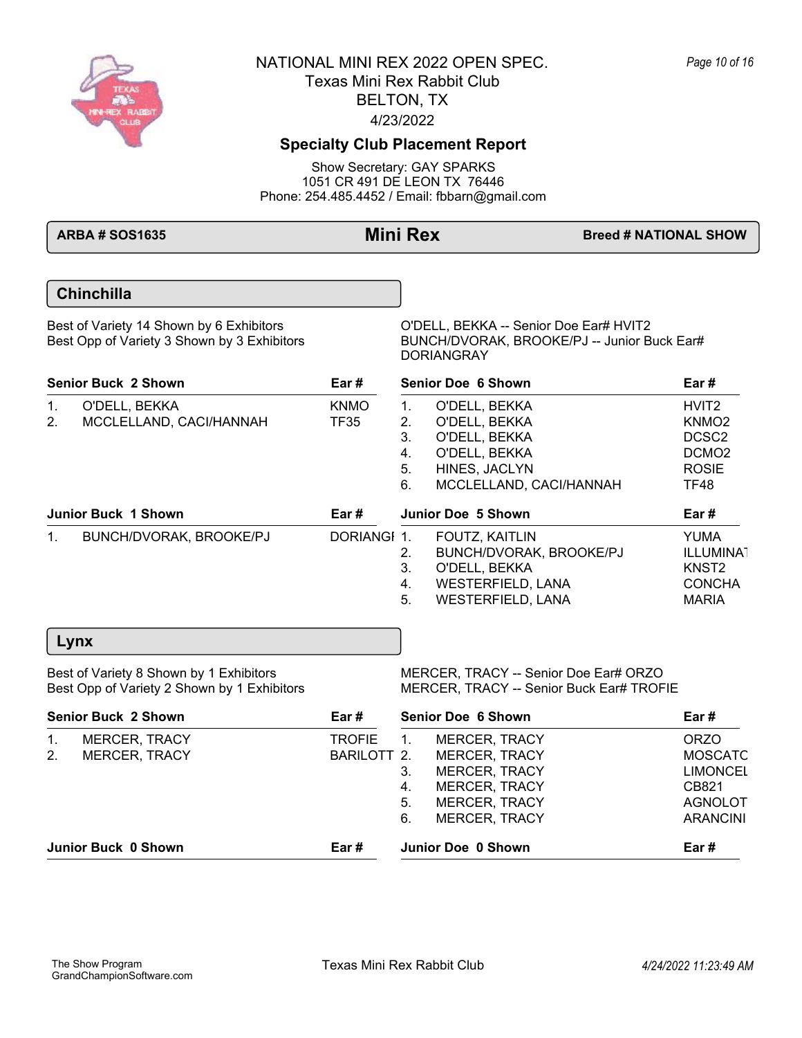

## **Specialty Club Placement Report**

Show Secretary: GAY SPARKS 1051 CR 491 DE LEON TX 76446 Phone: 254.485.4452 / Email: fbbarn@gmail.com

**ARBA # SOS1635 Mini Rex Breed # NATIONAL SHOW** 

## **Chinchilla**

Best of Variety 14 Shown by 6 Exhibitors <br>Best Opp of Variety 3 Shown by 3 Exhibitors BUNCH/DVORAK, BROOKE/PJ -- Junior B

BUNCH/DVORAK, BROOKE/PJ -- Junior Buck Ear# DORIANGRAY

| <b>Senior Buck 2 Shown</b> |                                          | Ear #               | <b>Senior Doe 6 Shown</b>        |                                                                                                              | Ear#                                                                                                     |  |
|----------------------------|------------------------------------------|---------------------|----------------------------------|--------------------------------------------------------------------------------------------------------------|----------------------------------------------------------------------------------------------------------|--|
| 1.<br>2.                   | O'DELL, BEKKA<br>MCCLELLAND, CACI/HANNAH | <b>KNMO</b><br>TF35 | 1.<br>2.<br>3.<br>4.<br>5.<br>6. | O'DELL, BEKKA<br>O'DELL, BEKKA<br>O'DELL, BEKKA<br>O'DELL, BEKKA<br>HINES, JACLYN<br>MCCLELLAND, CACI/HANNAH | HVIT <sub>2</sub><br>KNMO <sub>2</sub><br>DCSC <sub>2</sub><br>DCMO <sub>2</sub><br><b>ROSIE</b><br>TF48 |  |
|                            | <b>Junior Buck 1 Shown</b>               | Ear#                |                                  | Junior Doe 5 Shown                                                                                           | Ear #                                                                                                    |  |
| $1_{\cdot}$                | BUNCH/DVORAK, BROOKE/PJ                  | DORIANGI 1.         | 2.<br>3.<br>4.<br>5.             | FOUTZ, KAITLIN<br>BUNCH/DVORAK, BROOKE/PJ<br>O'DELL. BEKKA<br><b>WESTERFIELD, LANA</b><br>WESTERFIELD, LANA  | <b>YUMA</b><br><b>ILLUMINA1</b><br>KNST <sub>2</sub><br><b>CONCHA</b><br><b>MARIA</b>                    |  |

### **Lynx**

Best of Variety 8 Shown by 1 Exhibitors MERCER, TRACY -- Senior Doe Ear# ORZO<br>Best Opp of Variety 2 Shown by 1 Exhibitors MERCER, TRACY -- Senior Buck Ear# TROF MERCER, TRACY -- Senior Buck Ear# TROFIE

| <b>Senior Buck 2 Shown</b> |                      | Ear #         | <b>Senior Doe 6 Shown</b> |                      | Ear#            |
|----------------------------|----------------------|---------------|---------------------------|----------------------|-----------------|
| $\mathbf{1}$ .             | <b>MERCER, TRACY</b> | <b>TROFIE</b> | $\overline{1}$ .          | <b>MERCER, TRACY</b> | <b>ORZO</b>     |
| 2 <sub>1</sub>             | <b>MERCER, TRACY</b> | BARILOTT 2.   |                           | <b>MERCER, TRACY</b> | <b>MOSCATC</b>  |
|                            |                      |               | 3.                        | <b>MERCER, TRACY</b> | <b>LIMONCEL</b> |
|                            |                      |               | 4.                        | <b>MERCER, TRACY</b> | CB821           |
|                            |                      |               | 5.                        | <b>MERCER, TRACY</b> | <b>AGNOLOT</b>  |
|                            |                      |               | 6.                        | <b>MERCER, TRACY</b> | <b>ARANCINI</b> |
|                            | Junior Buck 0 Shown  | Ear #         |                           | Junior Doe 0 Shown   | Ear#            |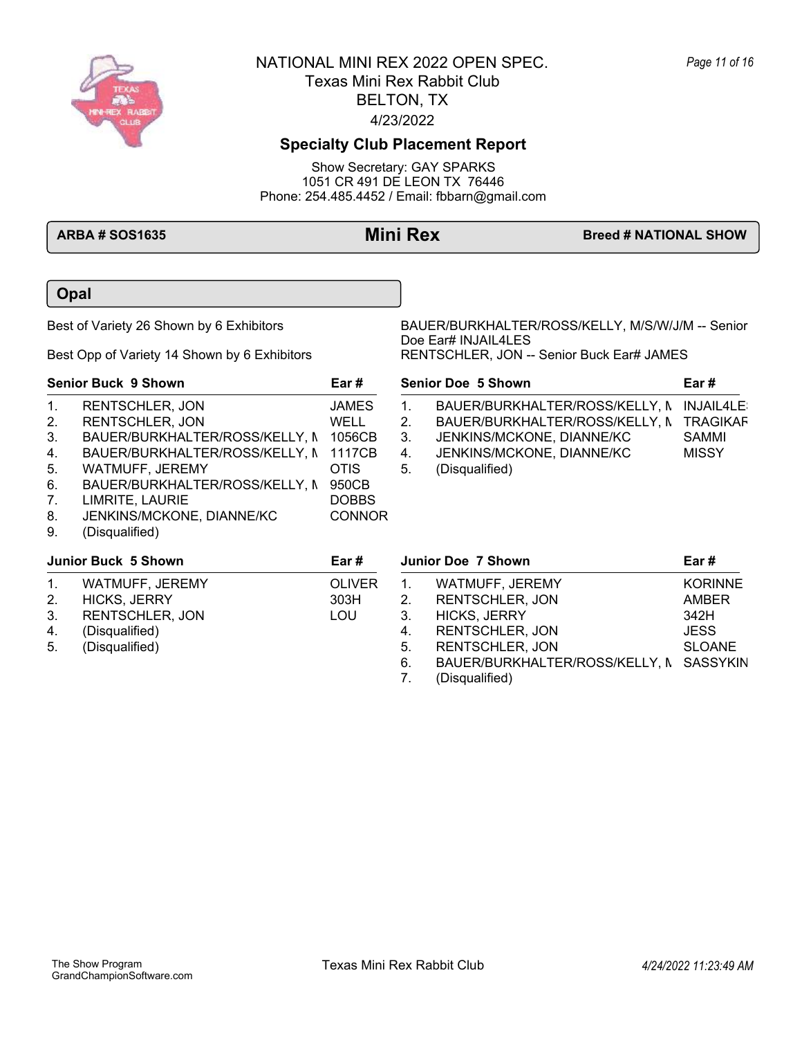

# **Specialty Club Placement Report**

Show Secretary: GAY SPARKS 1051 CR 491 DE LEON TX 76446 Phone: 254.485.4452 / Email: fbbarn@gmail.com

### **ARBA # SOS1635 Mini Rex Breed # NATIONAL SHOW**

**Opal**

Best of Variety 26 Shown by 6 Exhibitors BAUER/BURKHALTER/ROSS/KELLY, M/S/W/J/M -- Senior Doe Ear# INJAIL4LES Best Opp of Variety 14 Shown by 6 Exhibitors RENTSCHLER, JON -- Senior Buck Ear# JAMES

**Senior Doe 5 Shown Ear #**

|              | <b>Senior Buck 9 Shown</b>     | Ear#          |
|--------------|--------------------------------|---------------|
| $\mathbf 1$  | <b>RENTSCHLER, JON</b>         | <b>JAMES</b>  |
| 2.           | <b>RENTSCHLER, JON</b>         | WELL          |
| 3.           | BAUER/BURKHALTER/ROSS/KELLY, N | 1056CB        |
| $\mathbf{4}$ | BAUER/BURKHALTER/ROSS/KELLY, N | 1117CB        |
| 5.           | WATMUFF, JEREMY                | OTIS          |
| 6.           | BAUER/BURKHALTER/ROSS/KELLY, N | 950CB         |
| 7.           | LIMRITE, LAURIE                | <b>DOBBS</b>  |
| 8.           | JENKINS/MCKONE, DIANNE/KC      | <b>CONNOR</b> |
| 9.           | (Disqualified)                 |               |

| 1.            | BAUER/BURKHALTER/ROSS/KELLY, N INJAIL4LE: |                 |
|---------------|-------------------------------------------|-----------------|
| $\mathcal{P}$ | BAUER/BURKHALTER/ROSS/KELLY, N            | <b>TRAGIKAF</b> |
| 3.            | JENKINS/MCKONE, DIANNE/KC                 | SAMMI           |
| 4.            | JENKINS/MCKONE, DIANNE/KC                 | <b>MISSY</b>    |
| 5.            | (Disqualified)                            |                 |

| Junior Buck 5 Shown<br>Ear # |                        |               | <b>Junior Doe 7 Shown</b> |                                         | Ear #          |
|------------------------------|------------------------|---------------|---------------------------|-----------------------------------------|----------------|
| $\mathbf{1}$ .               | WATMUFF, JEREMY        | <b>OLIVER</b> |                           | WATMUFF, JEREMY                         | <b>KORINNE</b> |
| 2.                           | <b>HICKS, JERRY</b>    | 303H          | 2.                        | <b>RENTSCHLER, JON</b>                  | AMBER          |
| 3.                           | <b>RENTSCHLER, JON</b> | LOU           | 3.                        | <b>HICKS, JERRY</b>                     | 342H           |
| 4.                           | (Disqualified)         |               | 4.                        | <b>RENTSCHLER, JON</b>                  | <b>JESS</b>    |
| 5.                           | (Disqualified)         |               | 5.                        | <b>RENTSCHLER, JON</b>                  | <b>SLOANE</b>  |
|                              |                        |               | 6.                        | BAUER/BURKHALTER/ROSS/KELLY, N SASSYKIN |                |
|                              |                        |               |                           | (Disqualified)                          |                |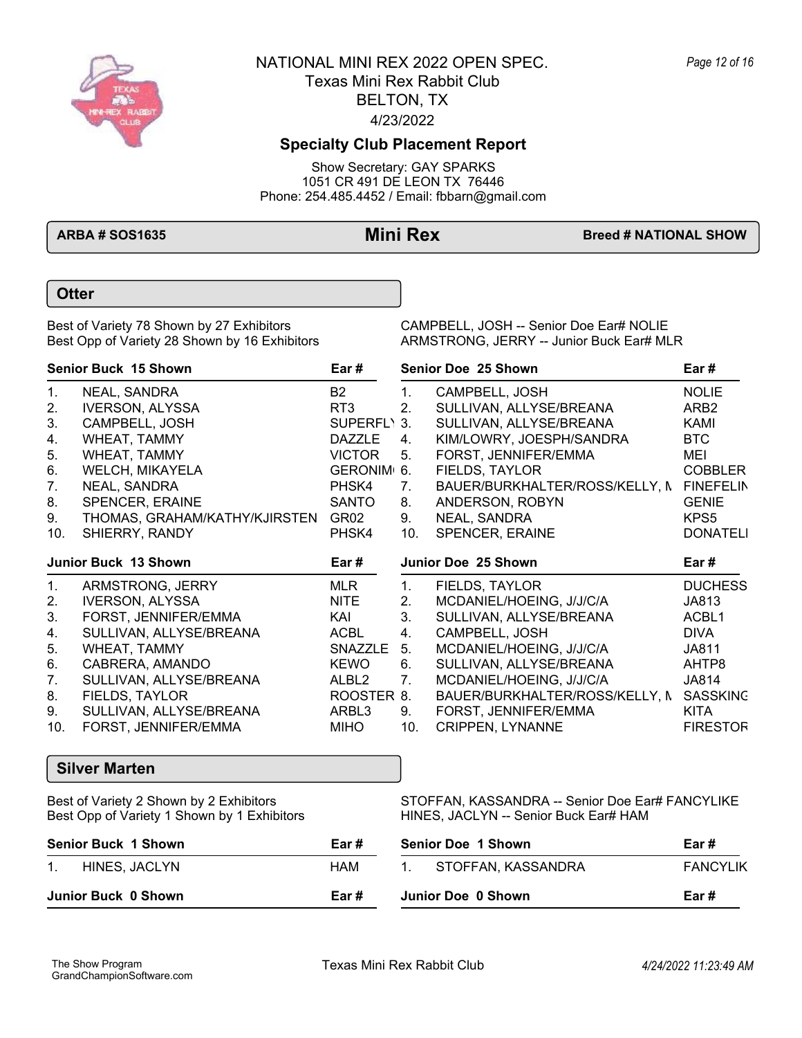

## **Specialty Club Placement Report**

Show Secretary: GAY SPARKS 1051 CR 491 DE LEON TX 76446 Phone: 254.485.4452 / Email: fbbarn@gmail.com

**ARBA # SOS1635 Mini Rex Breed # NATIONAL SHOW** 

### **Otter**

Best Opp of Variety 28 Shown by 16 Exhibitors

Best of Variety 78 Shown by 27 Exhibitors CAMPBELL, JOSH -- Senior Doe Ear# NOLIE<br>Best Opp of Variety 28 Shown by 16 Exhibitors ARMSTRONG, JERRY -- Junior Buck Ear# MLR

| <b>Senior Buck 15 Shown</b> |                               | Ear#                    | Senior Doe 25 Shown |                                |                  |  |
|-----------------------------|-------------------------------|-------------------------|---------------------|--------------------------------|------------------|--|
| 1.                          | NEAL, SANDRA                  | <b>B2</b>               | 1.                  | CAMPBELL, JOSH                 | <b>NOLIE</b>     |  |
| 2.                          | <b>IVERSON, ALYSSA</b>        | RT3                     | 2 <sub>1</sub>      | SULLIVAN, ALLYSE/BREANA        | ARB <sub>2</sub> |  |
| 3.                          | CAMPBELL, JOSH                | SUPERFL\ 3.             |                     | SULLIVAN, ALLYSE/BREANA        | KAMI             |  |
| 4.                          | WHEAT, TAMMY                  | <b>DAZZLE</b>           | 4.                  | KIM/LOWRY, JOESPH/SANDRA       | BTC              |  |
| 5.                          | WHEAT, TAMMY                  | <b>VICTOR</b>           | 5.                  | FORST, JENNIFER/EMMA           | MEI              |  |
| 6.                          | WELCH, MIKAYELA               | GERONIM <sub>1</sub> 6. |                     | FIELDS, TAYLOR                 | <b>COBBLER</b>   |  |
| 7.                          | NEAL, SANDRA                  | PHSK4                   | 7.                  | BAUER/BURKHALTER/ROSS/KELLY, N | <b>FINEFELIN</b> |  |
| 8.                          | SPENCER, ERAINE               | <b>SANTO</b>            | 8.                  | ANDERSON, ROBYN                | <b>GENIE</b>     |  |
| 9.                          | THOMAS, GRAHAM/KATHY/KJIRSTEN | GR02                    | 9.                  | NEAL, SANDRA                   | KPS <sub>5</sub> |  |
| 10.                         | SHIERRY, RANDY                | PHSK4                   | 10.                 | SPENCER, ERAINE                | <b>DONATELI</b>  |  |
|                             | <b>Junior Buck 13 Shown</b>   | Ear #                   |                     | Junior Doe 25 Shown            | Ear #            |  |

|                | <b>JUILOL DUCK TJ JILOWII</b> | La <i>m</i> |                | <b>JUILOI DUC LJUILOWII</b>    | La <i>m</i>     |
|----------------|-------------------------------|-------------|----------------|--------------------------------|-----------------|
| $\mathbf{1}$ . | ARMSTRONG, JERRY              | MLR.        |                | <b>FIELDS, TAYLOR</b>          | <b>DUCHESS</b>  |
| 2.             | <b>IVERSON, ALYSSA</b>        | <b>NITE</b> | 2.             | MCDANIEL/HOEING, J/J/C/A       | JA813           |
| 3.             | FORST, JENNIFER/EMMA          | KAI         | 3.             | SULLIVAN, ALLYSE/BREANA        | ACBL1           |
| 4.             | SULLIVAN, ALLYSE/BREANA       | ACBL        | 4.             | CAMPBELL, JOSH                 | <b>DIVA</b>     |
| 5.             | WHEAT, TAMMY                  | SNAZZLE 5.  |                | MCDANIEL/HOEING, J/J/C/A       | JA811           |
| 6.             | CABRERA, AMANDO               | <b>KEWO</b> | 6.             | SULLIVAN, ALLYSE/BREANA        | AHTP8           |
| 7.             | SULLIVAN, ALLYSE/BREANA       | ALBL2       | 7 <sub>1</sub> | MCDANIEL/HOEING, J/J/C/A       | JA814           |
| 8.             | FIELDS, TAYLOR                | ROOSTER 8.  |                | BAUER/BURKHALTER/ROSS/KELLY, N | <b>SASSKING</b> |
| 9.             | SULLIVAN, ALLYSE/BREANA       | ARBL3       | 9.             | FORST, JENNIFER/EMMA           | KITA            |
| 10.            | FORST, JENNIFER/EMMA          | MIHO        | 10.            | <b>CRIPPEN, LYNANNE</b>        | <b>FIRESTOR</b> |

### **Silver Marten**

Best Opp of Variety 1 Shown by 1 Exhibitors HINES, JACLYN -- Senior Buck Ear# HAM

Best of Variety 2 Shown by 2 Exhibitors STOFFAN, KASSANDRA -- Senior Doe Ear# FANCYLIKE

| <b>Senior Buck 1 Shown</b><br>Ear# |      | <b>Senior Doe 1 Shown</b>          | Ear #           |  |
|------------------------------------|------|------------------------------------|-----------------|--|
| HINES, JACLYN<br>$1_{-}$           | HAM  | STOFFAN, KASSANDRA<br>$\mathbf{1}$ | <b>FANCYLIK</b> |  |
| Junior Buck 0 Shown                | Ear# | Junior Doe 0 Shown                 | Ear #           |  |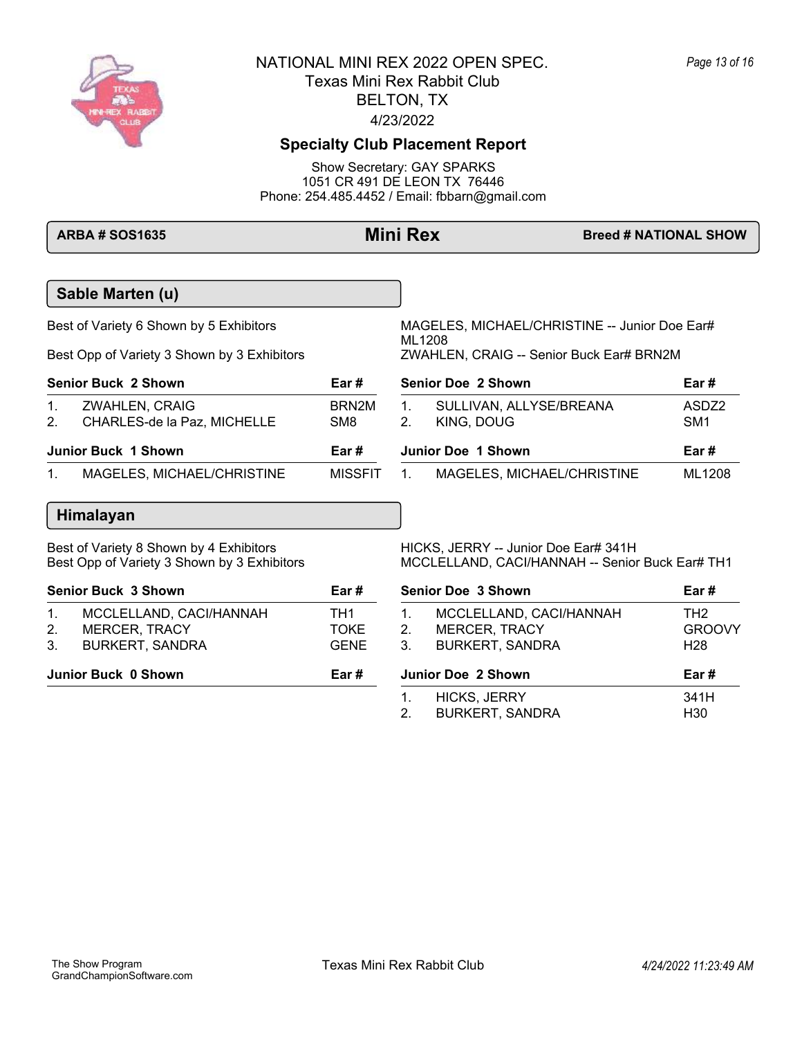

## **Specialty Club Placement Report**

Show Secretary: GAY SPARKS 1051 CR 491 DE LEON TX 76446 Phone: 254.485.4452 / Email: fbbarn@gmail.com

**Sable Marten (u)** Best of Variety 6 Shown by 5 Exhibitors MAGELES, MICHAEL/CHRISTINE -- Junior Doe Ear# ML1208<br>ZWAHLEN, CRAIG -- Senior Buck Ear# BRN2M Best Opp of Variety 3 Shown by 3 Exhibitors **Senior Buck 2 Shown Ear #** 1. ZWAHLEN, CRAIG<br>2. CHARLES-de la Paz. MICHELLE SM8 2. CHARLES-de la Paz, MICHELLE 1. SULLIVAN, ALLYSE/BREANA ASDZ2 2. KING, DOUG SM1 **Senior Doe 2 Shown Ear # Junior Buck 1 Shown Ear #** 1. MAGELES, MICHAEL/CHRISTINE MISSFIT 1. MAGELES, MICHAEL/CHRISTINE ML1208 **Junior Doe 1 Shown Ear # Himalayan** Best of Variety 8 Shown by 4 Exhibitors **HICKS, JERRY -- Junior Doe Ear# 341H** Best Opp of Variety 3 Shown by 3 Exhibitors MCCLELLAND, CACI/HANNAH -- Senior Buck Ear# TH1 **Senior Buck 3 Shown Ear #** 1. MCCLELLAND, CACI/HANNAH TH1 2. MERCER, TRACY TOKE 3. BURKERT, SANDRA GENE 1. MCCLELLAND, CACI/HANNAH TH2 2. MERCER, TRACY GROOVY 3. BURKERT, SANDRA H28 **Senior Doe 3 Shown Ear # Junior Buck 0 Shown Ear # Junior Doe 2 Shown Ear #**

**ARBA # SOS1635 Mini Rex Breed # NATIONAL SHOW**

1. HICKS, JERRY 341H 2. BURKERT, SANDRA H30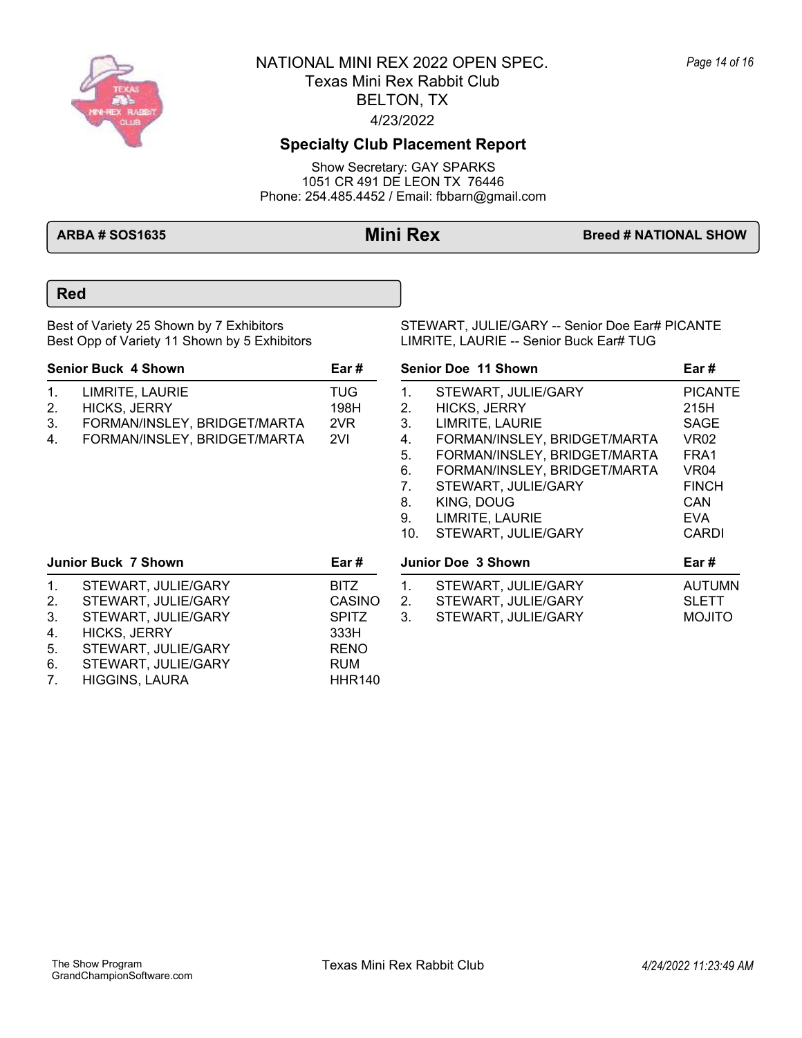

## **Specialty Club Placement Report**

Show Secretary: GAY SPARKS 1051 CR 491 DE LEON TX 76446 Phone: 254.485.4452 / Email: fbbarn@gmail.com

**ARBA # SOS1635 Mini Rex Breed # NATIONAL SHOW** 

### **Red**

Best Opp of Variety 11 Shown by 5 Exhibitors

Best of Variety 25 Shown by 7 Exhibitors STEWART, JULIE/GARY -- Senior Doe Ear# PICANTE<br>Best Opp of Variety 11 Shown by 5 Exhibitors Superman Humante, LAURIE -- Senior Buck Ear# TUG

| <b>Senior Buck 4 Shown</b><br>Ear# |                              |            |  |  |  |
|------------------------------------|------------------------------|------------|--|--|--|
| $1_{-}$                            | LIMRITE, LAURIE              | <b>TUG</b> |  |  |  |
| 2.                                 | <b>HICKS, JERRY</b>          | 198H       |  |  |  |
| 3.                                 | FORMAN/INSLEY, BRIDGET/MARTA | 2VR        |  |  |  |
| 4.                                 | FORMAN/INSLEY, BRIDGET/MARTA | 2VI        |  |  |  |

1. STEWART, JULIE/GARY PICANTE<br>2. HICKS, JERRY 215H 2. HICKS, JERRY 215H 3. LIMRITE, LAURIE SAGE 4. FORMAN/INSLEY, BRIDGET/MARTA VR02 5. FORMAN/INSLEY, BRIDGET/MARTA FRA1 6. FORMAN/INSLEY, BRIDGET/MARTA VR04<br>7. STEWART. JULIE/GARY FINCH STEWART, JULIE/GARY FINCH 8. KING, DOUG CAN 9. LIMRITE, LAURIE 10. STEWART, JULIE/GARY CARDI **Senior Doe 11 Shown Ear # Junior Doe 3 Shown Ear #**

| Junior Buck 7 Shown |                       | Ear#          | <b>Junior Doe 3 Shown</b> |                     | Ear#          |
|---------------------|-----------------------|---------------|---------------------------|---------------------|---------------|
| 1.                  | STEWART, JULIE/GARY   | <b>BITZ</b>   |                           | STEWART, JULIE/GARY | <b>AUTUMN</b> |
| 2 <sub>1</sub>      | STEWART, JULIE/GARY   | <b>CASINO</b> | 2.                        | STEWART, JULIE/GARY | <b>SLETT</b>  |
| 3.                  | STEWART, JULIE/GARY   | <b>SPITZ</b>  | 3.                        | STEWART, JULIE/GARY | <b>MOJITO</b> |
| 4.                  | HICKS, JERRY          | 333H          |                           |                     |               |
| 5.                  | STEWART, JULIE/GARY   | <b>RENO</b>   |                           |                     |               |
| 6.                  | STEWART, JULIE/GARY   | <b>RUM</b>    |                           |                     |               |
| $7_{\cdot}$         | <b>HIGGINS, LAURA</b> | <b>HHR140</b> |                           |                     |               |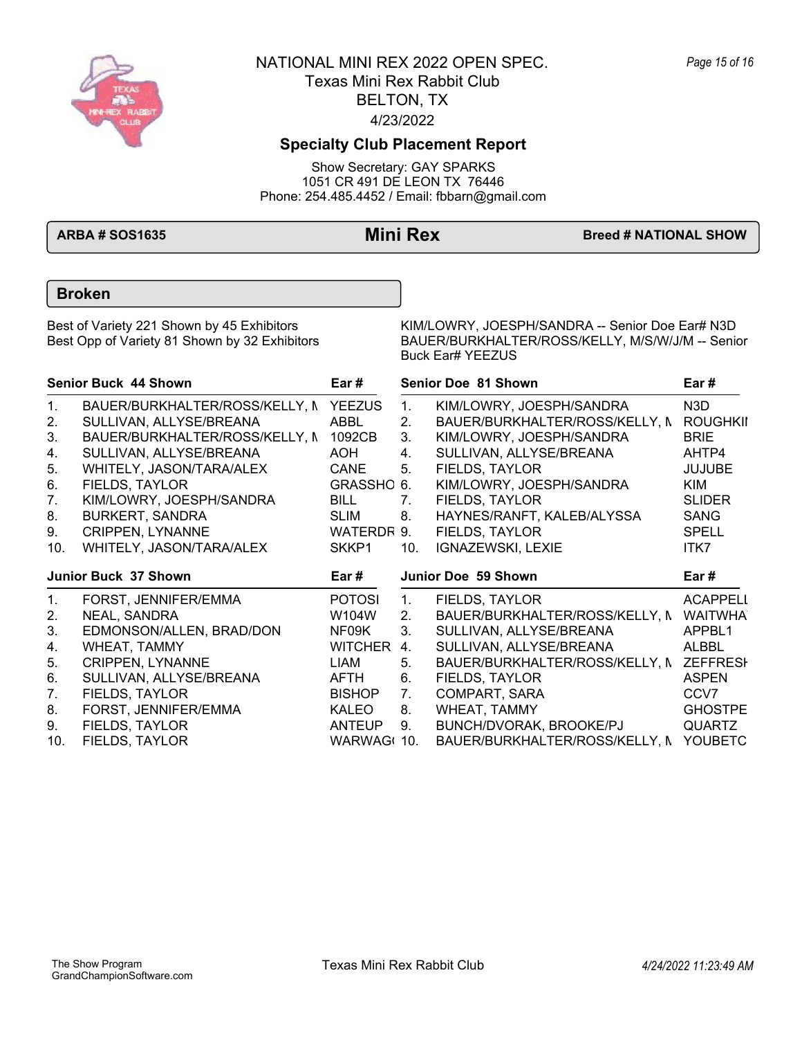

## **Specialty Club Placement Report**

Show Secretary: GAY SPARKS 1051 CR 491 DE LEON TX 76446 Phone: 254.485.4452 / Email: fbbarn@gmail.com

**ARBA # SOS1635 Mini Rex Breed # NATIONAL SHOW** 

### **Broken**

Best of Variety 221 Shown by 45 Exhibitors KIM/LOWRY, JOESPH/SANDRA -- Senior Doe Ear# N3D<br>BAUER/BURKHALTER/ROSS/KELLY, M/S/W/J/M -- Senior BAUER/BURKHALTER/ROSS/KELLY, M/S/W/J/M -- Senior Buck Ear# YEEZUS

| <b>Senior Buck 44 Shown</b> |                                | Ear #          |             | Senior Doe 81 Shown            | Ear#            |
|-----------------------------|--------------------------------|----------------|-------------|--------------------------------|-----------------|
| 1.                          | BAUER/BURKHALTER/ROSS/KELLY, N | <b>YEEZUS</b>  | $1_{\cdot}$ | KIM/LOWRY, JOESPH/SANDRA       | N3D             |
| 2.                          | SULLIVAN, ALLYSE/BREANA        | ABBL           | 2.          | BAUER/BURKHALTER/ROSS/KELLY, N | <b>ROUGHKII</b> |
| 3.                          | BAUER/BURKHALTER/ROSS/KELLY, N | 1092CB         | 3.          | KIM/LOWRY, JOESPH/SANDRA       | <b>BRIE</b>     |
| 4.                          | SULLIVAN, ALLYSE/BREANA        | AOH            | 4.          | SULLIVAN, ALLYSE/BREANA        | AHTP4           |
| 5.                          | WHITELY, JASON/TARA/ALEX       | CANE           | 5.          | FIELDS, TAYLOR                 | <b>JUJUBE</b>   |
| 6.                          | FIELDS, TAYLOR                 | GRASSHO 6.     |             | KIM/LOWRY, JOESPH/SANDRA       | KIM             |
| 7.                          | KIM/LOWRY, JOESPH/SANDRA       | BILL           | 7.          | FIELDS, TAYLOR                 | <b>SLIDER</b>   |
| 8.                          | <b>BURKERT, SANDRA</b>         | <b>SLIM</b>    | 8.          | HAYNES/RANFT, KALEB/ALYSSA     | <b>SANG</b>     |
| 9.                          | <b>CRIPPEN, LYNANNE</b>        | WATERDR 9.     |             | FIELDS, TAYLOR                 | <b>SPELL</b>    |
| 10.                         | WHITELY, JASON/TARA/ALEX       | SKKP1          | 10.         | IGNAZEWSKI, LEXIE              | ITK7            |
|                             | Junior Buck 37 Shown           | Ear#           |             | Junior Doe 59 Shown            | Ear#            |
| 1.                          | FORST, JENNIFER/EMMA           | <b>POTOSI</b>  | $1_{\cdot}$ | FIELDS, TAYLOR                 | <b>ACAPPELI</b> |
| 2.                          | NEAL, SANDRA                   | W104W          | 2.          | BAUER/BURKHALTER/ROSS/KELLY, N | <b>WAITWHA</b>  |
| 3.                          | EDMONSON/ALLEN, BRAD/DON       | NF09K          | 3.          | SULLIVAN, ALLYSE/BREANA        | APPBL1          |
| 4.                          | WHEAT, TAMMY                   | <b>WITCHER</b> | 4.          | SULLIVAN, ALLYSE/BREANA        | <b>ALBBL</b>    |
| 5.                          | <b>CRIPPEN, LYNANNE</b>        | LIAM           | 5.          | BAUER/BURKHALTER/ROSS/KELLY, N | <b>ZEFFRESH</b> |
| 6.                          |                                |                |             |                                |                 |
|                             | SULLIVAN, ALLYSE/BREANA        | AFTH           | 6.          | FIELDS, TAYLOR                 | <b>ASPEN</b>    |
| 7.                          | FIELDS, TAYLOR                 | <b>BISHOP</b>  | 7.          | COMPART, SARA                  | CCV7            |
| 8.                          | FORST, JENNIFER/EMMA           | KALEO          | 8.          | WHEAT, TAMMY                   | <b>GHOSTPE</b>  |
| 9.                          | FIELDS, TAYLOR                 | <b>ANTEUP</b>  | 9.          | BUNCH/DVORAK, BROOKE/PJ        | <b>QUARTZ</b>   |

*Page 15 of 16*